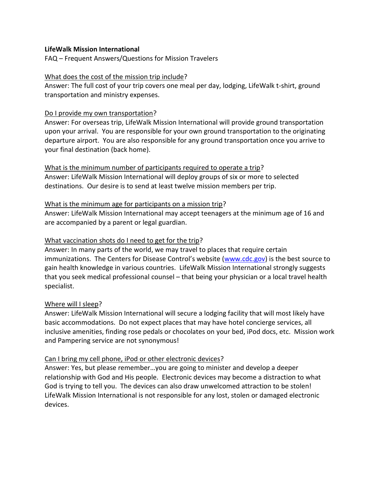### **LifeWalk Mission International**

FAQ – Frequent Answers/Questions for Mission Travelers

### What does the cost of the mission trip include?

Answer: The full cost of your trip covers one meal per day, lodging, LifeWalk t-shirt, ground transportation and ministry expenses.

## Do I provide my own transportation?

Answer: For overseas trip, LifeWalk Mission International will provide ground transportation upon your arrival. You are responsible for your own ground transportation to the originating departure airport. You are also responsible for any ground transportation once you arrive to your final destination (back home).

What is the minimum number of participants required to operate a trip? Answer: LifeWalk Mission International will deploy groups of six or more to selected destinations. Our desire is to send at least twelve mission members per trip.

### What is the minimum age for participants on a mission trip?

Answer: LifeWalk Mission International may accept teenagers at the minimum age of 16 and are accompanied by a parent or legal guardian.

### What vaccination shots do I need to get for the trip?

Answer: In many parts of the world, we may travel to places that require certain immunizations. The Centers for Disease Control's website ([www.cdc.gov\)](http://www.cdc.gov/) is the best source to gain health knowledge in various countries. LifeWalk Mission International strongly suggests that you seek medical professional counsel – that being your physician or a local travel health specialist.

#### Where will I sleep?

Answer: LifeWalk Mission International will secure a lodging facility that will most likely have basic accommodations. Do not expect places that may have hotel concierge services, all inclusive amenities, finding rose pedals or chocolates on your bed, iPod docs, etc. Mission work and Pampering service are not synonymous!

# Can I bring my cell phone, iPod or other electronic devices?

Answer: Yes, but please remember…you are going to minister and develop a deeper relationship with God and His people. Electronic devices may become a distraction to what God is trying to tell you. The devices can also draw unwelcomed attraction to be stolen! LifeWalk Mission International is not responsible for any lost, stolen or damaged electronic devices.